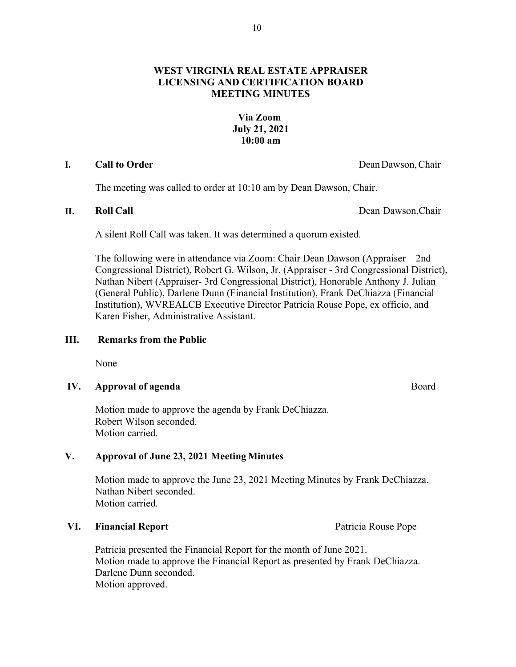# **WEST VIRGINIA REAL ESTATE APPRAISER LICENSING AND CERTIFICATION BOARD MEETING MINUTES**

## **Via Zoom July 21, 2021 10:00 am**

### **I. Call to Order Dean Dawson, Chair**

The meeting was called to order at 10:10 am by Dean Dawson, Chair.

**II. Roll Call** Dean Dawson,Chair

A silent Roll Call was taken. It was determined a quorum existed.

The following were in attendance via Zoom: Chair Dean Dawson (Appraiser – 2nd Congressional District), Robert G. Wilson, Jr. (Appraiser - 3rd Congressional District), Nathan Nibert (Appraiser- 3rd Congressional District), Honorable Anthony J. Julian (General Public), Darlene Dunn (Financial Institution), Frank DeChiazza (Financial Institution), WVREALCB Executive Director Patricia Rouse Pope, ex officio, and Karen Fisher, Administrative Assistant.

# **III. Remarks from the Public**

None

# **IV. Approval of agenda** Board

Motion made to approve the agenda by Frank DeChiazza. Robert Wilson seconded. Motion carried.

# **V. Approval of June 23, 2021 Meeting Minutes**

Motion made to approve the June 23, 2021 Meeting Minutes by Frank DeChiazza. Nathan Nibert seconded. Motion carried.

### **VI. Financial Report Patricia Rouse Pope**

Patricia presented the Financial Report for the month of June 2021. Motion made to approve the Financial Report as presented by Frank DeChiazza. Darlene Dunn seconded. Motion approved.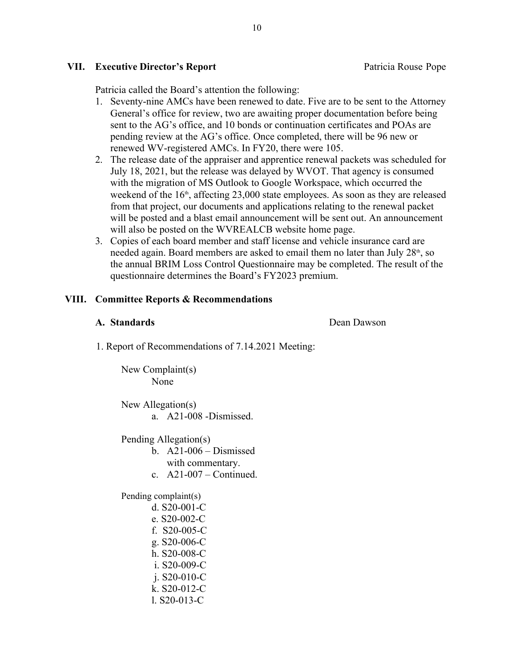### **VII. Executive Director's Report** Patricia Rouse Pope

Patricia called the Board's attention the following:

- 1. Seventy-nine AMCs have been renewed to date. Five are to be sent to the Attorney General's office for review, two are awaiting proper documentation before being sent to the AG's office, and 10 bonds or continuation certificates and POAs are pending review at the AG's office. Once completed, there will be 96 new or renewed WV-registered AMCs. In FY20, there were 105.
- 2. The release date of the appraiser and apprentice renewal packets was scheduled for July 18, 2021, but the release was delayed by WVOT. That agency is consumed with the migration of MS Outlook to Google Workspace, which occurred the weekend of the  $16<sup>th</sup>$ , affecting 23,000 state employees. As soon as they are released from that project, our documents and applications relating to the renewal packet will be posted and a blast email announcement will be sent out. An announcement will also be posted on the WVREALCB website home page.
- 3. Copies of each board member and staff license and vehicle insurance card are needed again. Board members are asked to email them no later than July  $28<sup>th</sup>$ , so the annual BRIM Loss Control Questionnaire may be completed. The result of the questionnaire determines the Board's FY2023 premium.

# **VIII. Committee Reports & Recommendations**

## **A. Standards Dean Dawson**

1. Report of Recommendations of 7.14.2021 Meeting:

New Complaint(s) None

New Allegation(s) a. A21-008 -Dismissed.

Pending Allegation(s)

- b.  $A21-006$  Dismissed with commentary.
	- c.  $A21-007$  Continued.

Pending complaint(s)

d. S20-001-C e. S20-002-C f. S20-005-C g. S20-006-C h. S20-008-C i. S20-009-C j. S20-010-C k. S20-012-C l. S20-013-C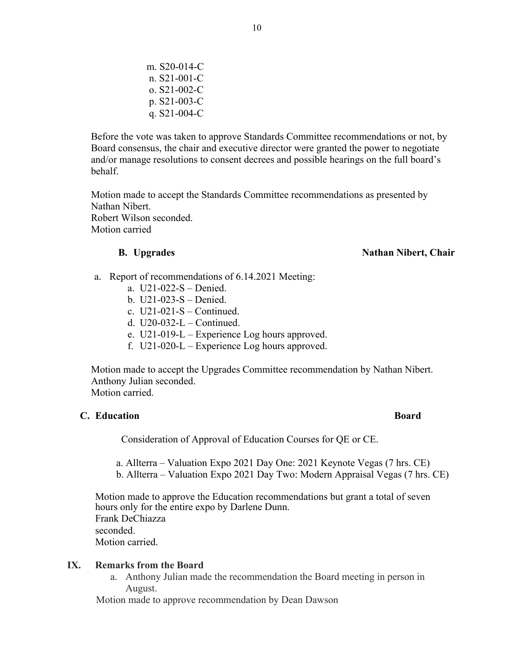m. S20-014-C n. S21-001-C o. S21-002-C p. S21-003-C q. S21-004-C

Before the vote was taken to approve Standards Committee recommendations or not, by Board consensus, the chair and executive director were granted the power to negotiate and/or manage resolutions to consent decrees and possible hearings on the full board's behalf.

Motion made to accept the Standards Committee recommendations as presented by Nathan Nibert. Robert Wilson seconded. Motion carried

#### **B. Upgrades** Nathan Nibert, Chair

- a. Report of recommendations of 6.14.2021 Meeting:
	- a. U21-022-S Denied.
	- b. U21-023-S Denied.
	- c. U21-021-S Continued.
	- d.  $U20-032-L$  Continued.
	- e. U21-019-L Experience Log hours approved.
	- f. U21-020-L Experience Log hours approved.

Motion made to accept the Upgrades Committee recommendation by Nathan Nibert. Anthony Julian seconded.

Motion carried.

### **C. Education Board**

Consideration of Approval of Education Courses for QE or CE.

a. Allterra – Valuation Expo 2021 Day One: 2021 Keynote Vegas (7 hrs. CE) b. Allterra – Valuation Expo 2021 Day Two: Modern Appraisal Vegas (7 hrs. CE)

Motion made to approve the Education recommendations but grant a total of seven hours only for the entire expo by Darlene Dunn. Frank DeChiazza seconded. Motion carried.

### **IX. Remarks from the Board**

a. Anthony Julian made the recommendation the Board meeting in person in August.

Motion made to approve recommendation by Dean Dawson